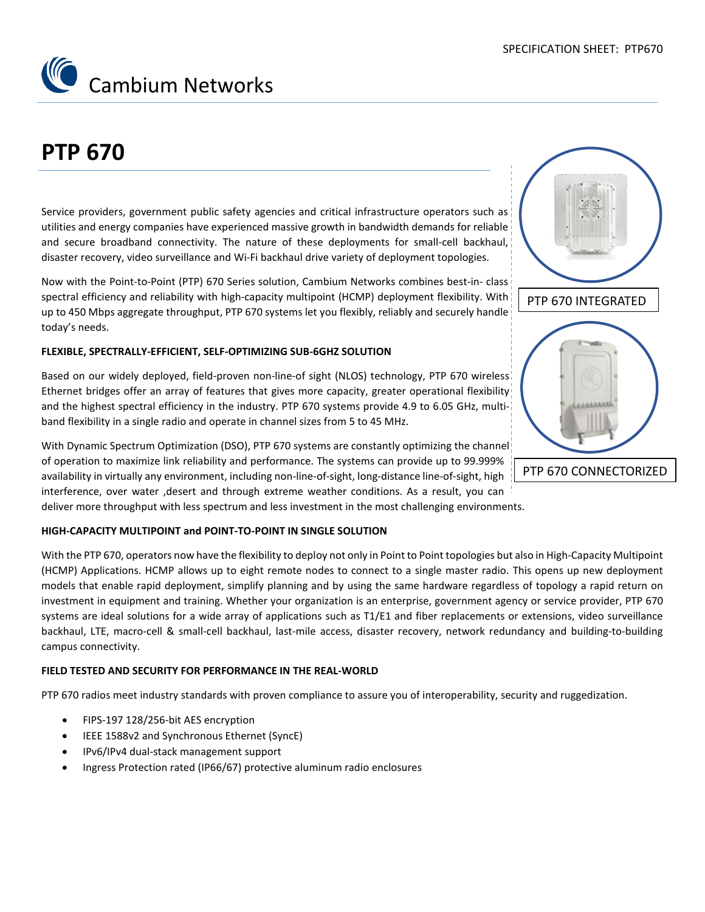

# **PTP 670**

Service providers, government public safety agencies and critical infrastructure operators such as utilities and energy companies have experienced massive growth in bandwidth demands for reliable and secure broadband connectivity. The nature of these deployments for small-cell backhaul, disaster recovery, video surveillance and Wi-Fi backhaul drive variety of deployment topologies.

Now with the Point-to-Point (PTP) 670 Series solution, Cambium Networks combines best-in- class spectral efficiency and reliability with high-capacity multipoint (HCMP) deployment flexibility. With up to 450 Mbps aggregate throughput, PTP 670 systems let you flexibly, reliably and securely handle today's needs.

#### **FLEXIBLE, SPECTRALLY-EFFICIENT, SELF-OPTIMIZING SUB-6GHZ SOLUTION**

Based on our widely deployed, field-proven non-line-of sight (NLOS) technology, PTP 670 wireless Ethernet bridges offer an array of features that gives more capacity, greater operational flexibility and the highest spectral efficiency in the industry. PTP 670 systems provide 4.9 to 6.05 GHz, multiband flexibility in a single radio and operate in channel sizes from 5 to 45 MHz.

With Dynamic Spectrum Optimization (DSO), PTP 670 systems are constantly optimizing the channel! of operation to maximize link reliability and performance. The systems can provide up to 99.999% availability in virtually any environment, including non-line-of-sight, long-distance line-of-sight, high interference, over water ,desert and through extreme weather conditions. As a result, you can

deliver more throughput with less spectrum and less investment in the most challenging environments.

#### **HIGH-CAPACITY MULTIPOINT and POINT-TO-POINT IN SINGLE SOLUTION**

With the PTP 670, operators now have the flexibility to deploy not only in Point to Point topologies but also in High-Capacity Multipoint (HCMP) Applications. HCMP allows up to eight remote nodes to connect to a single master radio. This opens up new deployment models that enable rapid deployment, simplify planning and by using the same hardware regardless of topology a rapid return on investment in equipment and training. Whether your organization is an enterprise, government agency or service provider, PTP 670 systems are ideal solutions for a wide array of applications such as T1/E1 and fiber replacements or extensions, video surveillance backhaul, LTE, macro-cell & small-cell backhaul, last-mile access, disaster recovery, network redundancy and building-to-building campus connectivity.

#### **FIELD TESTED AND SECURITY FOR PERFORMANCE IN THE REAL-WORLD**

PTP 670 radios meet industry standards with proven compliance to assure you of interoperability, security and ruggedization.

- FIPS-197 128/256-bit AES encryption
- IEEE 1588v2 and Synchronous Ethernet (SyncE)
- IPv6/IPv4 dual-stack management support
- Ingress Protection rated (IP66/67) protective aluminum radio enclosures

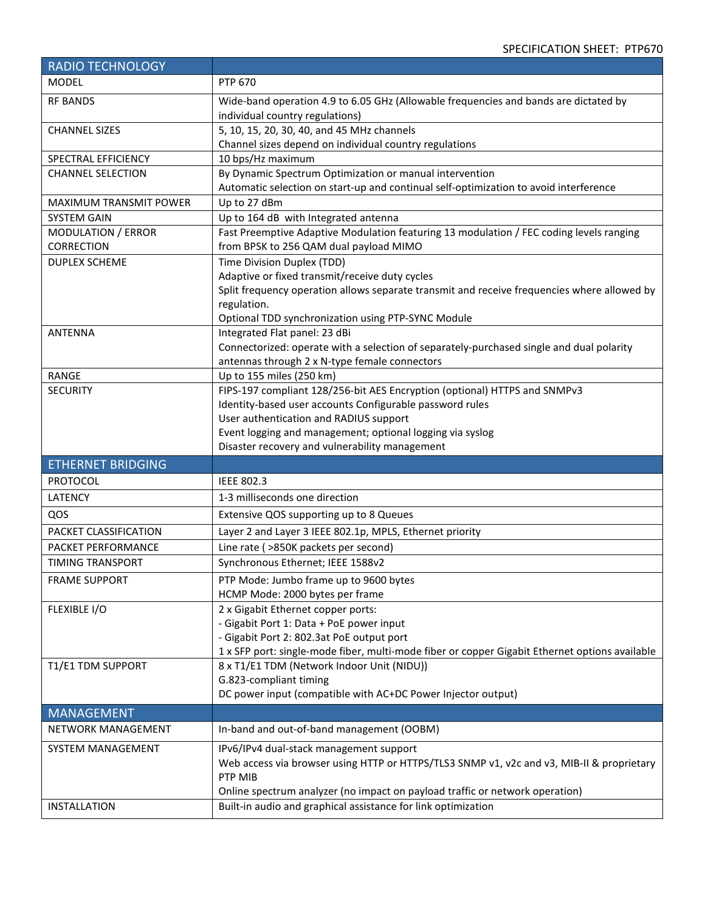| <b>RADIO TECHNOLOGY</b>                       |                                                                                                                                               |
|-----------------------------------------------|-----------------------------------------------------------------------------------------------------------------------------------------------|
| <b>MODEL</b>                                  | <b>PTP 670</b>                                                                                                                                |
| <b>RF BANDS</b>                               | Wide-band operation 4.9 to 6.05 GHz (Allowable frequencies and bands are dictated by<br>individual country regulations)                       |
| <b>CHANNEL SIZES</b>                          | 5, 10, 15, 20, 30, 40, and 45 MHz channels<br>Channel sizes depend on individual country regulations                                          |
| SPECTRAL EFFICIENCY                           | 10 bps/Hz maximum                                                                                                                             |
| <b>CHANNEL SELECTION</b>                      | By Dynamic Spectrum Optimization or manual intervention                                                                                       |
|                                               | Automatic selection on start-up and continual self-optimization to avoid interference                                                         |
| <b>MAXIMUM TRANSMIT POWER</b>                 | Up to 27 dBm                                                                                                                                  |
| <b>SYSTEM GAIN</b>                            | Up to 164 dB with Integrated antenna                                                                                                          |
| <b>MODULATION / ERROR</b>                     | Fast Preemptive Adaptive Modulation featuring 13 modulation / FEC coding levels ranging                                                       |
| <b>CORRECTION</b>                             | from BPSK to 256 QAM dual payload MIMO                                                                                                        |
| <b>DUPLEX SCHEME</b>                          | Time Division Duplex (TDD)                                                                                                                    |
|                                               | Adaptive or fixed transmit/receive duty cycles                                                                                                |
|                                               | Split frequency operation allows separate transmit and receive frequencies where allowed by                                                   |
|                                               | regulation.                                                                                                                                   |
|                                               | Optional TDD synchronization using PTP-SYNC Module                                                                                            |
| <b>ANTENNA</b>                                | Integrated Flat panel: 23 dBi                                                                                                                 |
|                                               | Connectorized: operate with a selection of separately-purchased single and dual polarity                                                      |
|                                               | antennas through 2 x N-type female connectors                                                                                                 |
| <b>RANGE</b><br><b>SECURITY</b>               | Up to 155 miles (250 km)                                                                                                                      |
|                                               | FIPS-197 compliant 128/256-bit AES Encryption (optional) HTTPS and SNMPv3<br>Identity-based user accounts Configurable password rules         |
|                                               | User authentication and RADIUS support                                                                                                        |
|                                               | Event logging and management; optional logging via syslog                                                                                     |
|                                               |                                                                                                                                               |
|                                               |                                                                                                                                               |
|                                               | Disaster recovery and vulnerability management                                                                                                |
| <b>ETHERNET BRIDGING</b><br><b>PROTOCOL</b>   | <b>IEEE 802.3</b>                                                                                                                             |
| <b>LATENCY</b>                                | 1-3 milliseconds one direction                                                                                                                |
| QOS                                           | Extensive QOS supporting up to 8 Queues                                                                                                       |
| PACKET CLASSIFICATION                         |                                                                                                                                               |
|                                               | Layer 2 and Layer 3 IEEE 802.1p, MPLS, Ethernet priority                                                                                      |
| PACKET PERFORMANCE<br><b>TIMING TRANSPORT</b> | Line rate ( >850K packets per second)                                                                                                         |
|                                               | Synchronous Ethernet; IEEE 1588v2                                                                                                             |
| <b>FRAME SUPPORT</b>                          | PTP Mode: Jumbo frame up to 9600 bytes                                                                                                        |
|                                               | HCMP Mode: 2000 bytes per frame                                                                                                               |
| FLEXIBLE I/O                                  | 2 x Gigabit Ethernet copper ports:                                                                                                            |
|                                               | - Gigabit Port 1: Data + PoE power input<br>- Gigabit Port 2: 802.3at PoE output port                                                         |
|                                               | 1 x SFP port: single-mode fiber, multi-mode fiber or copper Gigabit Ethernet options available                                                |
| T1/E1 TDM SUPPORT                             | 8 x T1/E1 TDM (Network Indoor Unit (NIDU))                                                                                                    |
|                                               | G.823-compliant timing                                                                                                                        |
|                                               | DC power input (compatible with AC+DC Power Injector output)                                                                                  |
| <b>MANAGEMENT</b>                             |                                                                                                                                               |
| NETWORK MANAGEMENT                            | In-band and out-of-band management (OOBM)                                                                                                     |
| SYSTEM MANAGEMENT                             | IPv6/IPv4 dual-stack management support                                                                                                       |
|                                               | Web access via browser using HTTP or HTTPS/TLS3 SNMP v1, v2c and v3, MIB-II & proprietary                                                     |
|                                               | PTP MIB                                                                                                                                       |
|                                               | Online spectrum analyzer (no impact on payload traffic or network operation)<br>Built-in audio and graphical assistance for link optimization |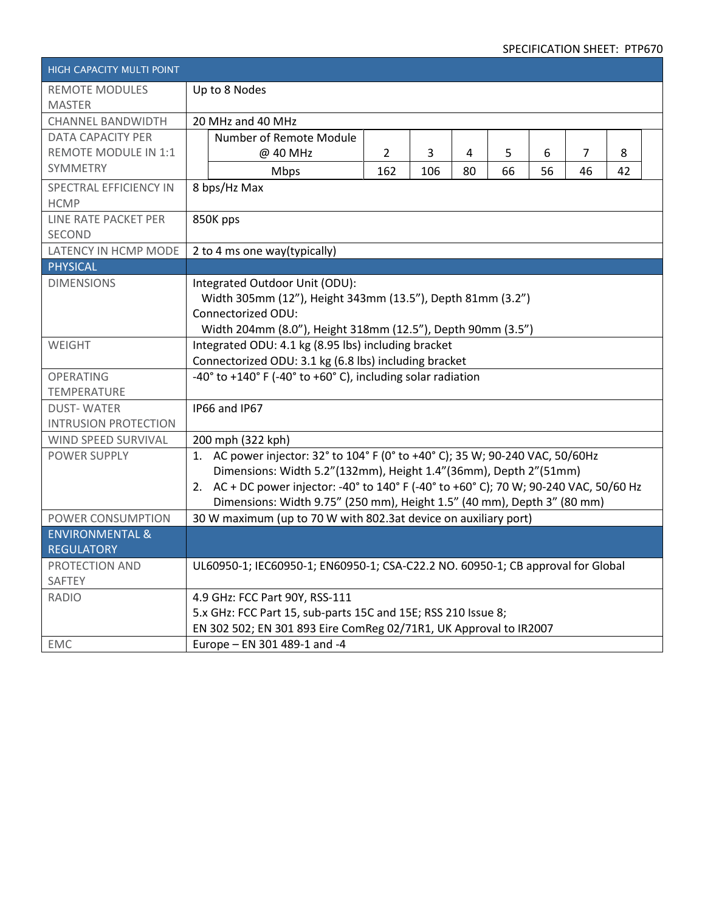## SPECIFICATION SHEET: PTP670

| HIGH CAPACITY MULTI POINT   |                                                                                                  |                |     |    |    |    |    |    |  |  |  |
|-----------------------------|--------------------------------------------------------------------------------------------------|----------------|-----|----|----|----|----|----|--|--|--|
| <b>REMOTE MODULES</b>       | Up to 8 Nodes                                                                                    |                |     |    |    |    |    |    |  |  |  |
| <b>MASTER</b>               |                                                                                                  |                |     |    |    |    |    |    |  |  |  |
| <b>CHANNEL BANDWIDTH</b>    | 20 MHz and 40 MHz                                                                                |                |     |    |    |    |    |    |  |  |  |
| <b>DATA CAPACITY PER</b>    | Number of Remote Module                                                                          |                |     |    |    |    |    |    |  |  |  |
| <b>REMOTE MODULE IN 1:1</b> | @ 40 MHz                                                                                         | $\overline{2}$ | 3   | 4  | 5  | 6  | 7  | 8  |  |  |  |
| <b>SYMMETRY</b>             | Mbps                                                                                             | 162            | 106 | 80 | 66 | 56 | 46 | 42 |  |  |  |
| SPECTRAL EFFICIENCY IN      | 8 bps/Hz Max                                                                                     |                |     |    |    |    |    |    |  |  |  |
| <b>HCMP</b>                 |                                                                                                  |                |     |    |    |    |    |    |  |  |  |
| LINE RATE PACKET PER        | 850K pps                                                                                         |                |     |    |    |    |    |    |  |  |  |
| <b>SECOND</b>               |                                                                                                  |                |     |    |    |    |    |    |  |  |  |
| LATENCY IN HCMP MODE        | 2 to 4 ms one way(typically)                                                                     |                |     |    |    |    |    |    |  |  |  |
| <b>PHYSICAL</b>             |                                                                                                  |                |     |    |    |    |    |    |  |  |  |
| <b>DIMENSIONS</b>           | Integrated Outdoor Unit (ODU):                                                                   |                |     |    |    |    |    |    |  |  |  |
|                             | Width 305mm (12"), Height 343mm (13.5"), Depth 81mm (3.2")                                       |                |     |    |    |    |    |    |  |  |  |
|                             | Connectorized ODU:                                                                               |                |     |    |    |    |    |    |  |  |  |
|                             | Width 204mm (8.0"), Height 318mm (12.5"), Depth 90mm (3.5")                                      |                |     |    |    |    |    |    |  |  |  |
| WEIGHT                      | Integrated ODU: 4.1 kg (8.95 lbs) including bracket                                              |                |     |    |    |    |    |    |  |  |  |
|                             | Connectorized ODU: 3.1 kg (6.8 lbs) including bracket                                            |                |     |    |    |    |    |    |  |  |  |
| <b>OPERATING</b>            | $-40^{\circ}$ to $+140^{\circ}$ F ( $-40^{\circ}$ to $+60^{\circ}$ C), including solar radiation |                |     |    |    |    |    |    |  |  |  |
| <b>TEMPERATURE</b>          |                                                                                                  |                |     |    |    |    |    |    |  |  |  |
| <b>DUST-WATER</b>           | IP66 and IP67                                                                                    |                |     |    |    |    |    |    |  |  |  |
| <b>INTRUSION PROTECTION</b> |                                                                                                  |                |     |    |    |    |    |    |  |  |  |
| WIND SPEED SURVIVAL         | 200 mph (322 kph)                                                                                |                |     |    |    |    |    |    |  |  |  |
| POWER SUPPLY                | 1. AC power injector: 32° to 104° F (0° to +40° C); 35 W; 90-240 VAC, 50/60Hz                    |                |     |    |    |    |    |    |  |  |  |
|                             | Dimensions: Width 5.2"(132mm), Height 1.4"(36mm), Depth 2"(51mm)                                 |                |     |    |    |    |    |    |  |  |  |
|                             | 2. AC + DC power injector: -40° to 140° F (-40° to +60° C); 70 W; 90-240 VAC, 50/60 Hz           |                |     |    |    |    |    |    |  |  |  |
|                             | Dimensions: Width 9.75" (250 mm), Height 1.5" (40 mm), Depth 3" (80 mm)                          |                |     |    |    |    |    |    |  |  |  |
| POWER CONSUMPTION           | 30 W maximum (up to 70 W with 802.3at device on auxiliary port)                                  |                |     |    |    |    |    |    |  |  |  |
| <b>ENVIRONMENTAL &amp;</b>  |                                                                                                  |                |     |    |    |    |    |    |  |  |  |
| <b>REGULATORY</b>           |                                                                                                  |                |     |    |    |    |    |    |  |  |  |
| PROTECTION AND              | UL60950-1; IEC60950-1; EN60950-1; CSA-C22.2 NO. 60950-1; CB approval for Global                  |                |     |    |    |    |    |    |  |  |  |
| SAFTEY                      |                                                                                                  |                |     |    |    |    |    |    |  |  |  |
| <b>RADIO</b>                | 4.9 GHz: FCC Part 90Y, RSS-111                                                                   |                |     |    |    |    |    |    |  |  |  |
|                             | 5.x GHz: FCC Part 15, sub-parts 15C and 15E; RSS 210 Issue 8;                                    |                |     |    |    |    |    |    |  |  |  |
|                             | EN 302 502; EN 301 893 Eire ComReg 02/71R1, UK Approval to IR2007                                |                |     |    |    |    |    |    |  |  |  |
| <b>EMC</b>                  | Europe - EN 301 489-1 and -4                                                                     |                |     |    |    |    |    |    |  |  |  |